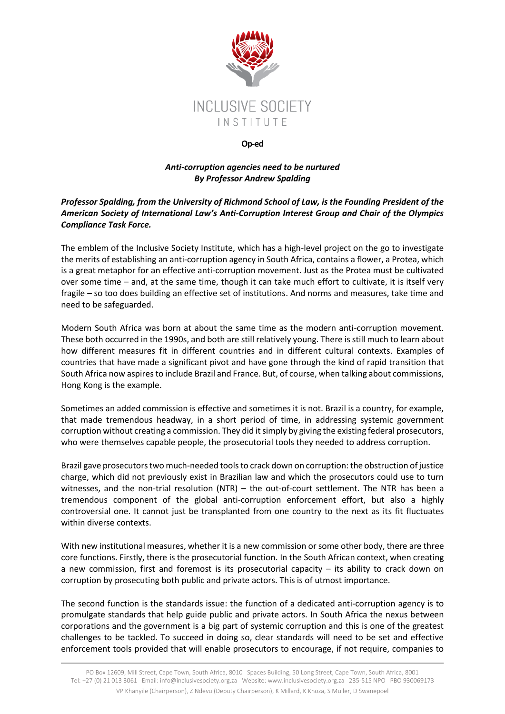

## **Op-ed**

## *Anti-corruption agencies need to be nurtured By Professor Andrew Spalding*

## *Professor Spalding, from the University of Richmond School of Law, is the Founding President of the American Society of International Law's Anti-Corruption Interest Group and Chair of the Olympics Compliance Task Force.*

The emblem of the Inclusive Society Institute, which has a high-level project on the go to investigate the merits of establishing an anti-corruption agency in South Africa, contains a flower, a Protea, which is a great metaphor for an effective anti-corruption movement. Just as the Protea must be cultivated over some time – and, at the same time, though it can take much effort to cultivate, it is itself very fragile – so too does building an effective set of institutions. And norms and measures, take time and need to be safeguarded.

Modern South Africa was born at about the same time as the modern anti-corruption movement. These both occurred in the 1990s, and both are still relatively young. There is still much to learn about how different measures fit in different countries and in different cultural contexts. Examples of countries that have made a significant pivot and have gone through the kind of rapid transition that South Africa now aspires to include Brazil and France. But, of course, when talking about commissions, Hong Kong is the example.

Sometimes an added commission is effective and sometimes it is not. Brazil is a country, for example, that made tremendous headway, in a short period of time, in addressing systemic government corruption without creating a commission. They did it simply by giving the existing federal prosecutors, who were themselves capable people, the prosecutorial tools they needed to address corruption.

Brazil gave prosecutors two much-needed tools to crack down on corruption: the obstruction of justice charge, which did not previously exist in Brazilian law and which the prosecutors could use to turn witnesses, and the non-trial resolution (NTR) – the out-of-court settlement. The NTR has been a tremendous component of the global anti-corruption enforcement effort, but also a highly controversial one. It cannot just be transplanted from one country to the next as its fit fluctuates within diverse contexts.

With new institutional measures, whether it is a new commission or some other body, there are three core functions. Firstly, there is the prosecutorial function. In the South African context, when creating a new commission, first and foremost is its prosecutorial capacity – its ability to crack down on corruption by prosecuting both public and private actors. This is of utmost importance.

The second function is the standards issue: the function of a dedicated anti-corruption agency is to promulgate standards that help guide public and private actors. In South Africa the nexus between corporations and the government is a big part of systemic corruption and this is one of the greatest challenges to be tackled. To succeed in doing so, clear standards will need to be set and effective enforcement tools provided that will enable prosecutors to encourage, if not require, companies to